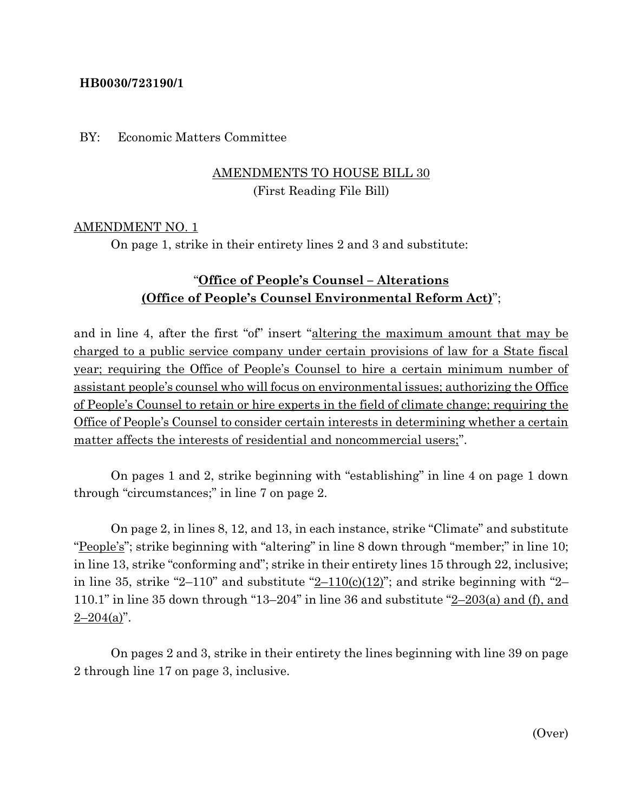### **HB0030/723190/1**

### BY: Economic Matters Committee

# AMENDMENTS TO HOUSE BILL 30 (First Reading File Bill)

### AMENDMENT NO. 1

On page 1, strike in their entirety lines 2 and 3 and substitute:

# "**Office of People's Counsel – Alterations (Office of People's Counsel Environmental Reform Act)**";

and in line 4, after the first "of" insert "altering the maximum amount that may be charged to a public service company under certain provisions of law for a State fiscal year; requiring the Office of People's Counsel to hire a certain minimum number of assistant people's counsel who will focus on environmental issues; authorizing the Office of People's Counsel to retain or hire experts in the field of climate change; requiring the Office of People's Counsel to consider certain interests in determining whether a certain matter affects the interests of residential and noncommercial users;".

On pages 1 and 2, strike beginning with "establishing" in line 4 on page 1 down through "circumstances;" in line 7 on page 2.

On page 2, in lines 8, 12, and 13, in each instance, strike "Climate" and substitute "People's"; strike beginning with "altering" in line 8 down through "member;" in line 10; in line 13, strike "conforming and"; strike in their entirety lines 15 through 22, inclusive; in line 35, strike "2–110" and substitute "2–110(c)(12)"; and strike beginning with "2– 110.1" in line 35 down through "13–204" in line 36 and substitute "2–203(a) and (f), and  $2 - 204(a)$ ".

On pages 2 and 3, strike in their entirety the lines beginning with line 39 on page 2 through line 17 on page 3, inclusive.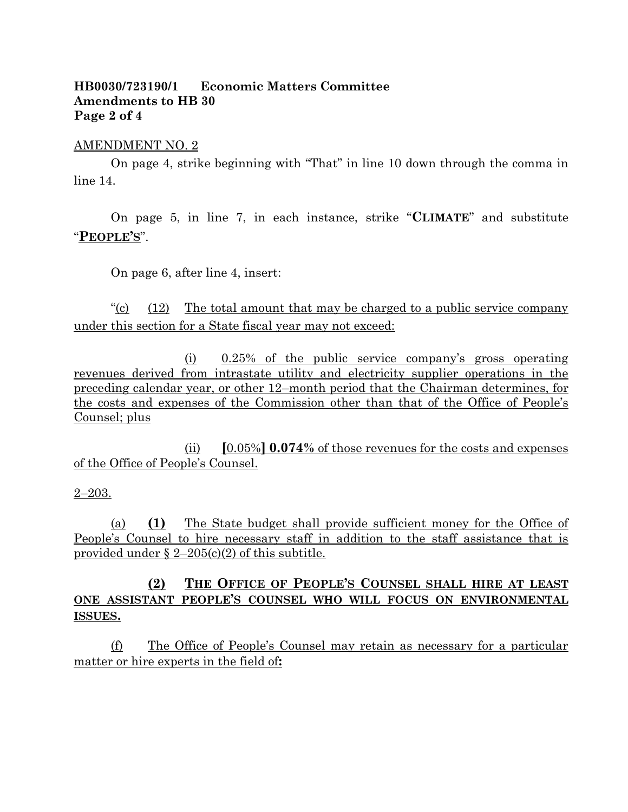### **HB0030/723190/1 Economic Matters Committee Amendments to HB 30 Page 2 of 4**

#### AMENDMENT NO. 2

On page 4, strike beginning with "That" in line 10 down through the comma in line 14.

On page 5, in line 7, in each instance, strike "**CLIMATE**" and substitute "**PEOPLE'S**".

On page 6, after line 4, insert:

" $\frac{12}{12}$  The total amount that may be charged to a public service company" under this section for a State fiscal year may not exceed:

(i) 0.25% of the public service company's gross operating revenues derived from intrastate utility and electricity supplier operations in the preceding calendar year, or other 12–month period that the Chairman determines, for the costs and expenses of the Commission other than that of the Office of People's Counsel; plus

(ii) **[**0.05%**] 0.074%** of those revenues for the costs and expenses of the Office of People's Counsel.

#### 2–203.

(a) **(1)** The State budget shall provide sufficient money for the Office of People's Counsel to hire necessary staff in addition to the staff assistance that is provided under  $\S 2-205(c)(2)$  of this subtitle.

## **(2) THE OFFICE OF PEOPLE'S COUNSEL SHALL HIRE AT LEAST ONE ASSISTANT PEOPLE'S COUNSEL WHO WILL FOCUS ON ENVIRONMENTAL ISSUES.**

(f) The Office of People's Counsel may retain as necessary for a particular matter or hire experts in the field of**:**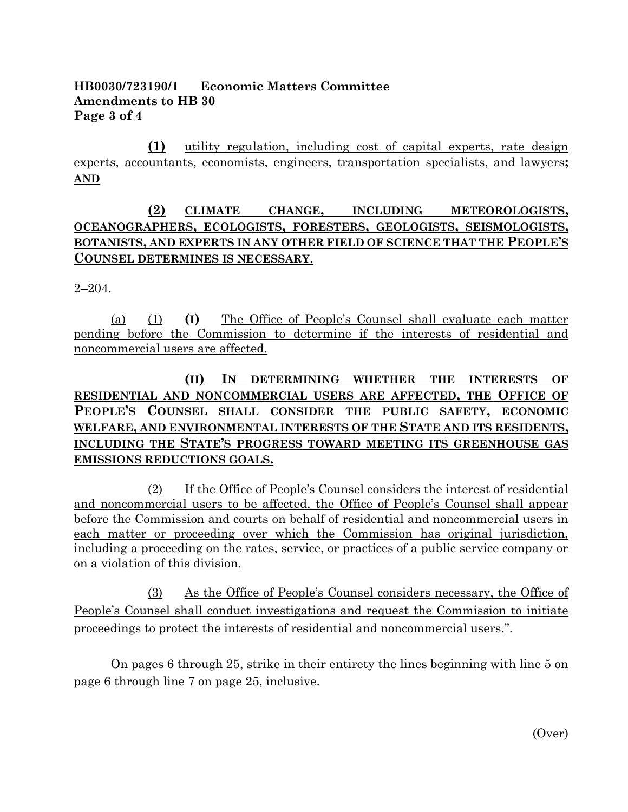## **HB0030/723190/1 Economic Matters Committee Amendments to HB 30 Page 3 of 4**

**(1)** utility regulation, including cost of capital experts, rate design experts, accountants, economists, engineers, transportation specialists, and lawyers**; AND**

# **(2) CLIMATE CHANGE, INCLUDING METEOROLOGISTS, OCEANOGRAPHERS, ECOLOGISTS, FORESTERS, GEOLOGISTS, SEISMOLOGISTS, BOTANISTS, AND EXPERTS IN ANY OTHER FIELD OF SCIENCE THAT THE PEOPLE'S COUNSEL DETERMINES IS NECESSARY**.

2–204.

(a) (1) **(I)** The Office of People's Counsel shall evaluate each matter pending before the Commission to determine if the interests of residential and noncommercial users are affected.

# **(II) IN DETERMINING WHETHER THE INTERESTS OF RESIDENTIAL AND NONCOMMERCIAL USERS ARE AFFECTED, THE OFFICE OF PEOPLE'S COUNSEL SHALL CONSIDER THE PUBLIC SAFETY, ECONOMIC WELFARE, AND ENVIRONMENTAL INTERESTS OF THE STATE AND ITS RESIDENTS, INCLUDING THE STATE'S PROGRESS TOWARD MEETING ITS GREENHOUSE GAS EMISSIONS REDUCTIONS GOALS.**

(2) If the Office of People's Counsel considers the interest of residential and noncommercial users to be affected, the Office of People's Counsel shall appear before the Commission and courts on behalf of residential and noncommercial users in each matter or proceeding over which the Commission has original jurisdiction, including a proceeding on the rates, service, or practices of a public service company or on a violation of this division.

(3) As the Office of People's Counsel considers necessary, the Office of People's Counsel shall conduct investigations and request the Commission to initiate proceedings to protect the interests of residential and noncommercial users.".

On pages 6 through 25, strike in their entirety the lines beginning with line 5 on page 6 through line 7 on page 25, inclusive.